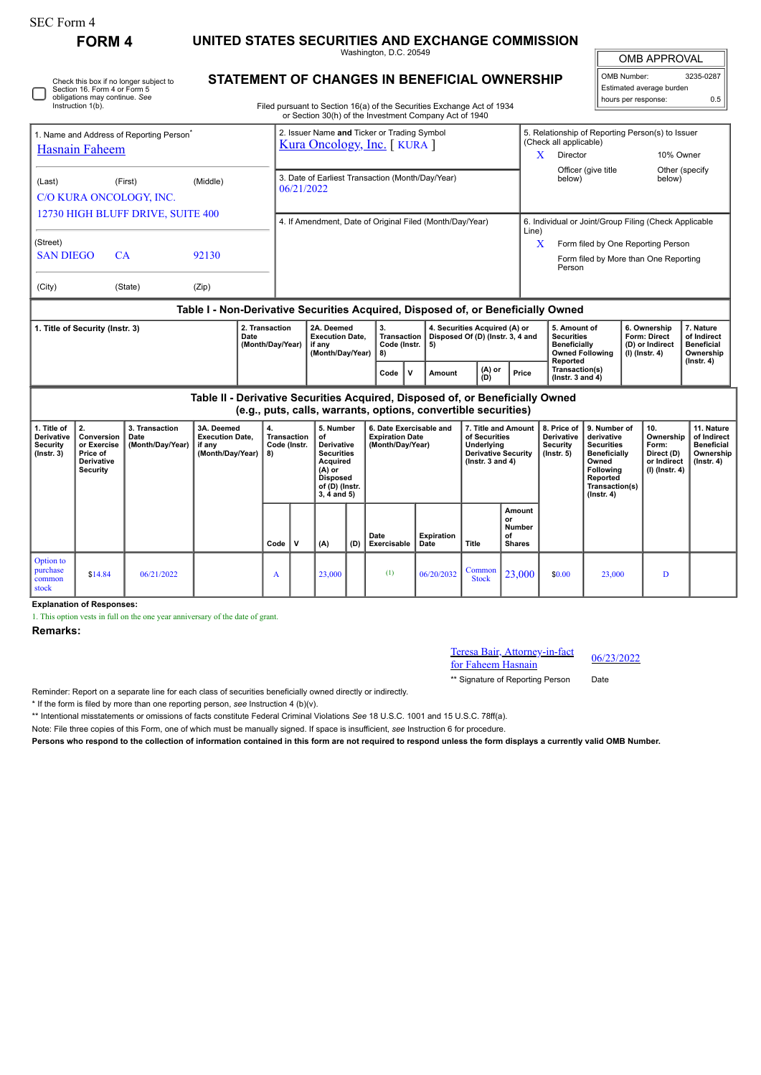| <b>SEC Form 4</b>                                                                                                                                                 |                                                                              |                                            |                                                                    |                                                                            |                                                                                                                                                                                  |                                                                                                                                           |     |                                                                       |                           |                                                                                                        |                                                      |                                                                                                                                                    |                                                                                                                                                |                                                                                    |                                                                          |                                                                                 |  |  |
|-------------------------------------------------------------------------------------------------------------------------------------------------------------------|------------------------------------------------------------------------------|--------------------------------------------|--------------------------------------------------------------------|----------------------------------------------------------------------------|----------------------------------------------------------------------------------------------------------------------------------------------------------------------------------|-------------------------------------------------------------------------------------------------------------------------------------------|-----|-----------------------------------------------------------------------|---------------------------|--------------------------------------------------------------------------------------------------------|------------------------------------------------------|----------------------------------------------------------------------------------------------------------------------------------------------------|------------------------------------------------------------------------------------------------------------------------------------------------|------------------------------------------------------------------------------------|--------------------------------------------------------------------------|---------------------------------------------------------------------------------|--|--|
| <b>FORM4</b>                                                                                                                                                      |                                                                              |                                            |                                                                    | UNITED STATES SECURITIES AND EXCHANGE COMMISSION<br>Washington, D.C. 20549 |                                                                                                                                                                                  |                                                                                                                                           |     |                                                                       |                           |                                                                                                        |                                                      |                                                                                                                                                    |                                                                                                                                                | <b>OMB APPROVAL</b>                                                                |                                                                          |                                                                                 |  |  |
| Check this box if no longer subject to<br>Section 16. Form 4 or Form 5<br>obligations may continue. See<br>Instruction 1(b).                                      |                                                                              |                                            |                                                                    |                                                                            | STATEMENT OF CHANGES IN BENEFICIAL OWNERSHIP<br>Filed pursuant to Section 16(a) of the Securities Exchange Act of 1934<br>or Section 30(h) of the Investment Company Act of 1940 |                                                                                                                                           |     |                                                                       |                           |                                                                                                        |                                                      |                                                                                                                                                    |                                                                                                                                                | OMB Number:<br>3235-0287<br>Estimated average burden<br>hours per response:<br>0.5 |                                                                          |                                                                                 |  |  |
| 1. Name and Address of Reporting Person <sup>®</sup><br><b>Hasnain Faheem</b>                                                                                     |                                                                              |                                            |                                                                    |                                                                            | 2. Issuer Name and Ticker or Trading Symbol<br>Kura Oncology, Inc. [KURA]                                                                                                        |                                                                                                                                           |     |                                                                       |                           |                                                                                                        |                                                      | (Check all applicable)<br>Director<br>X                                                                                                            |                                                                                                                                                | 5. Relationship of Reporting Person(s) to Issuer<br>10% Owner<br>Other (specify    |                                                                          |                                                                                 |  |  |
| (Last)<br>(First)<br>(Middle)<br>C/O KURA ONCOLOGY, INC.                                                                                                          |                                                                              |                                            |                                                                    |                                                                            | 3. Date of Earliest Transaction (Month/Day/Year)<br>06/21/2022                                                                                                                   |                                                                                                                                           |     |                                                                       |                           |                                                                                                        |                                                      |                                                                                                                                                    | Officer (give title<br>below)<br>below)                                                                                                        |                                                                                    |                                                                          |                                                                                 |  |  |
| 12730 HIGH BLUFF DRIVE, SUITE 400<br>(Street)<br><b>SAN DIEGO</b><br>CA<br>92130                                                                                  |                                                                              |                                            |                                                                    |                                                                            | 4. If Amendment, Date of Original Filed (Month/Day/Year)                                                                                                                         |                                                                                                                                           |     |                                                                       |                           |                                                                                                        |                                                      | 6. Individual or Joint/Group Filing (Check Applicable<br>Line)<br>X<br>Form filed by One Reporting Person<br>Form filed by More than One Reporting |                                                                                                                                                |                                                                                    |                                                                          |                                                                                 |  |  |
| (State)<br>(Zip)<br>(City)                                                                                                                                        |                                                                              |                                            |                                                                    |                                                                            |                                                                                                                                                                                  | Person                                                                                                                                    |     |                                                                       |                           |                                                                                                        |                                                      |                                                                                                                                                    |                                                                                                                                                |                                                                                    |                                                                          |                                                                                 |  |  |
| Table I - Non-Derivative Securities Acquired, Disposed of, or Beneficially Owned<br>2. Transaction<br>1. Title of Security (Instr. 3)<br>Date<br>(Month/Day/Year) |                                                                              |                                            |                                                                    |                                                                            | 2A. Deemed<br><b>Execution Date,</b><br>if anv<br>(Month/Day/Year)                                                                                                               |                                                                                                                                           |     | 3.<br>Transaction<br>Code (Instr.<br>5)<br>8)                         |                           | 4. Securities Acquired (A) or<br>Disposed Of (D) (Instr. 3, 4 and                                      |                                                      | 5. Amount of<br><b>Securities</b><br><b>Beneficially</b><br><b>Owned Following</b>                                                                 |                                                                                                                                                |                                                                                    | 6. Ownership<br>Form: Direct<br>(D) or Indirect<br>$(I)$ (Instr. 4)      | 7. Nature<br>of Indirect<br><b>Beneficial</b><br>Ownership                      |  |  |
|                                                                                                                                                                   |                                                                              |                                            |                                                                    |                                                                            |                                                                                                                                                                                  |                                                                                                                                           |     | $\mathbf{v}$<br>Code                                                  | Amount                    | (A) or<br>ÌDÍ                                                                                          | Price                                                | Reported<br>Transaction(s)<br>(Instr. $3$ and $4$ )                                                                                                |                                                                                                                                                |                                                                                    |                                                                          | (Instr. 4)                                                                      |  |  |
| Table II - Derivative Securities Acquired, Disposed of, or Beneficially Owned<br>(e.g., puts, calls, warrants, options, convertible securities)                   |                                                                              |                                            |                                                                    |                                                                            |                                                                                                                                                                                  |                                                                                                                                           |     |                                                                       |                           |                                                                                                        |                                                      |                                                                                                                                                    |                                                                                                                                                |                                                                                    |                                                                          |                                                                                 |  |  |
| 1. Title of<br>Derivative<br><b>Security</b><br>$($ Instr. 3 $)$                                                                                                  | 2.<br>Conversion<br>or Exercise<br>Price of<br>Derivative<br><b>Security</b> | 3. Transaction<br>Date<br>(Month/Day/Year) | 3A. Deemed<br><b>Execution Date,</b><br>if any<br>(Month/Day/Year) | 4.<br>8)                                                                   | <b>Transaction</b><br>Code (Instr.                                                                                                                                               | 5. Number<br>of<br><b>Derivative</b><br><b>Securities</b><br>Acquired<br>$(A)$ or<br><b>Disposed</b><br>of (D) (Instr.<br>$3, 4$ and $5)$ |     | 6. Date Exercisable and<br><b>Expiration Date</b><br>(Month/Day/Year) |                           | 7. Title and Amount<br>of Securities<br>Underlying<br><b>Derivative Security</b><br>( $lnstr.3$ and 4) |                                                      | 8. Price of<br>Derivative<br><b>Security</b><br>$($ lnstr. 5 $)$                                                                                   | 9. Number of<br>derivative<br><b>Securities</b><br><b>Beneficially</b><br>Owned<br>Following<br>Reported<br>Transaction(s)<br>$($ Instr. 4 $)$ |                                                                                    | 10.<br>Ownership<br>Form:<br>Direct (D)<br>or Indirect<br>(I) (Instr. 4) | 11. Nature<br>of Indirect<br><b>Beneficial</b><br>Ownership<br>$($ Instr. 4 $)$ |  |  |
|                                                                                                                                                                   |                                                                              |                                            |                                                                    | Code                                                                       | $\mathbf{v}$                                                                                                                                                                     | (A)                                                                                                                                       | (D) | Date<br>Exercisable                                                   | <b>Expiration</b><br>Date | Title                                                                                                  | Amount<br>or<br><b>Number</b><br>of<br><b>Shares</b> |                                                                                                                                                    |                                                                                                                                                |                                                                                    |                                                                          |                                                                                 |  |  |
| Option to<br>purchase<br>common<br>stock                                                                                                                          | \$14.84                                                                      | 06/21/2022                                 |                                                                    | A                                                                          |                                                                                                                                                                                  | 23,000                                                                                                                                    |     | (1)                                                                   | 06/20/2032                | Common<br><b>Stock</b>                                                                                 | 23,000                                               | \$0.00                                                                                                                                             | 23,000                                                                                                                                         |                                                                                    | $\mathbf{D}$                                                             |                                                                                 |  |  |

**Explanation of Responses:**

1. This option vests in full on the one year anniversary of the date of grant.

**Remarks:**

Teresa Bair, Attorney-in-fact For Faheem Hasnain 196/23/2022

\*\* Signature of Reporting Person Date

Reminder: Report on a separate line for each class of securities beneficially owned directly or indirectly.

\* If the form is filed by more than one reporting person, *see* Instruction 4 (b)(v).

\*\* Intentional misstatements or omissions of facts constitute Federal Criminal Violations *See* 18 U.S.C. 1001 and 15 U.S.C. 78ff(a).

Note: File three copies of this Form, one of which must be manually signed. If space is insufficient, *see* Instruction 6 for procedure.

**Persons who respond to the collection of information contained in this form are not required to respond unless the form displays a currently valid OMB Number.**